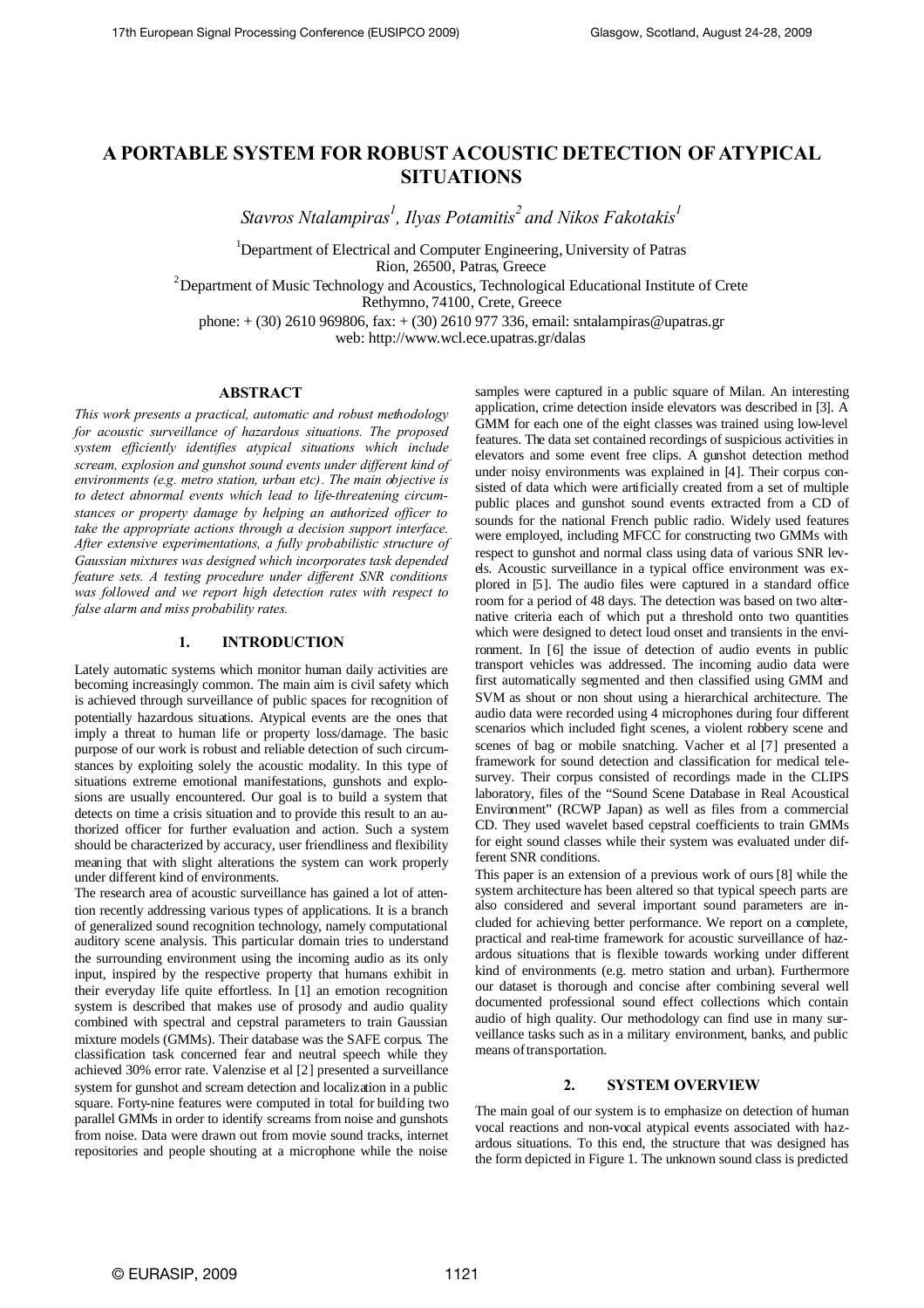# **A PORTABLE SYSTEM FOR ROBUST ACOUSTIC DETECTION OF ATYPICAL SITUATIONS**

*Stavros Ntalampiras<sup>1</sup> , Ilyas Potamitis<sup>2</sup> and Nikos Fakotakis<sup>1</sup>*

<sup>1</sup>Department of Electrical and Computer Engineering, University of Patras Rion, 26500, Patras, Greece

 $2D$ epartment of Music Technology and Acoustics, Technological Educational Institute of Crete

Rethymno, 74100, Crete, Greece

phone: + (30) 2610 969806, fax: + (30) 2610 977 336, email: sntalampiras@upatras.gr

web: http://www.wcl.ece.upatras.gr/dalas

#### **ABSTRACT**

*This work presents a practical, automatic and robust methodology for acoustic surveillance of hazardous situations. The proposed system efficiently identifies atypical situations which include scream, explosion and gunshot sound events under different kind of environments (e.g. metro station, urban etc). The main objective is to detect abnormal events which lead to life-threatening circumstances or property damage by helping an authorized officer to take the appropriate actions through a decision support interface. After extensive experimentations, a fully probabilistic structure of Gaussian mixtures was designed which incorporates task depended feature sets. A testing procedure under different SNR conditions was followed and we report high detection rates with respect to false alarm and miss probability rates.*

# **1. INTRODUCTION**

Lately automatic systems which monitor human daily activities are becoming increasingly common. The main aim is civil safety which is achieved through surveillance of public spaces for recognition of potentially hazardous situations. Atypical events are the ones that imply a threat to human life or property loss/damage. The basic purpose of our work is robust and reliable detection of such circumstances by exploiting solely the acoustic modality. In this type of situations extreme emotional manifestations, gunshots and explosions are usually encountered. Our goal is to build a system that detects on time a crisis situation and to provide this result to an authorized officer for further evaluation and action. Such a system should be characterized by accuracy, user friendliness and flexibility meaning that with slight alterations the system can work properly under different kind of environments.

The research area of acoustic surveillance has gained a lot of attention recently addressing various types of applications. It is a branch of generalized sound recognition technology, namely computational auditory scene analysis. This particular domain tries to understand the surrounding environment using the incoming audio as its only input, inspired by the respective property that humans exhibit in their everyday life quite effortless. In [1] an emotion recognition system is described that makes use of prosody and audio quality combined with spectral and cepstral parameters to train Gaussian mixture models (GMMs). Their database was the SAFE corpus. The classification task concerned fear and neutral speech while they achieved 30% error rate. Valenzise et al [2] presented a surveillance system for gunshot and scream detection and localization in a public square. Forty-nine features were computed in total for building two parallel GMMs in order to identify screams from noise and gunshots from noise. Data were drawn out from movie sound tracks, internet repositories and people shouting at a microphone while the noise

samples were captured in a public square of Milan. An interesting application, crime detection inside elevators was described in [3]. A GMM for each one of the eight classes was trained using low-level features. The data set contained recordings of suspicious activities in elevators and some event free clips. A gunshot detection method under noisy environments was explained in [4]. Their corpus consisted of data which were artificially created from a set of multiple public places and gunshot sound events extracted from a CD of sounds for the national French public radio. Widely used features were employed, including MFCC for constructing two GMMs with respect to gunshot and normal class using data of various SNR levels. Acoustic surveillance in a typical office environment was explored in [5]. The audio files were captured in a standard office room for a period of 48 days. The detection was based on two alternative criteria each of which put a threshold onto two quantities which were designed to detect loud onset and transients in the environment. In [6] the issue of detection of audio events in public transport vehicles was addressed. The incoming audio data were first automatically segmented and then classified using GMM and SVM as shout or non shout using a hierarchical architecture. The audio data were recorded using 4 microphones during four different scenarios which included fight scenes, a violent robbery scene and scenes of bag or mobile snatching. Vacher et al [7] presented a framework for sound detection and classification for medical telesurvey. Their corpus consisted of recordings made in the CLIPS laboratory, files of the "Sound Scene Database in Real Acoustical Environment" (RCWP Japan) as well as files from a commercial CD. They used wavelet based cepstral coefficients to train GMMs for eight sound classes while their system was evaluated under different SNR conditions.

This paper is an extension of a previous work of ours [8] while the system architecture has been altered so that typical speech parts are also considered and several important sound parameters are included for achieving better performance. We report on a complete, practical and real-time framework for acoustic surveillance of hazardous situations that is flexible towards working under different kind of environments (e.g. metro station and urban). Furthermore our dataset is thorough and concise after combining several well documented professional sound effect collections which contain audio of high quality. Our methodology can find use in many surveillance tasks such as in a military environment, banks, and public means of transportation.

## **2. SYSTEM OVERVIEW**

The main goal of our system is to emphasize on detection of human vocal reactions and non-vocal atypical events associated with hazardous situations. To this end, the structure that was designed has the form depicted in Figure 1. The unknown sound class is predicted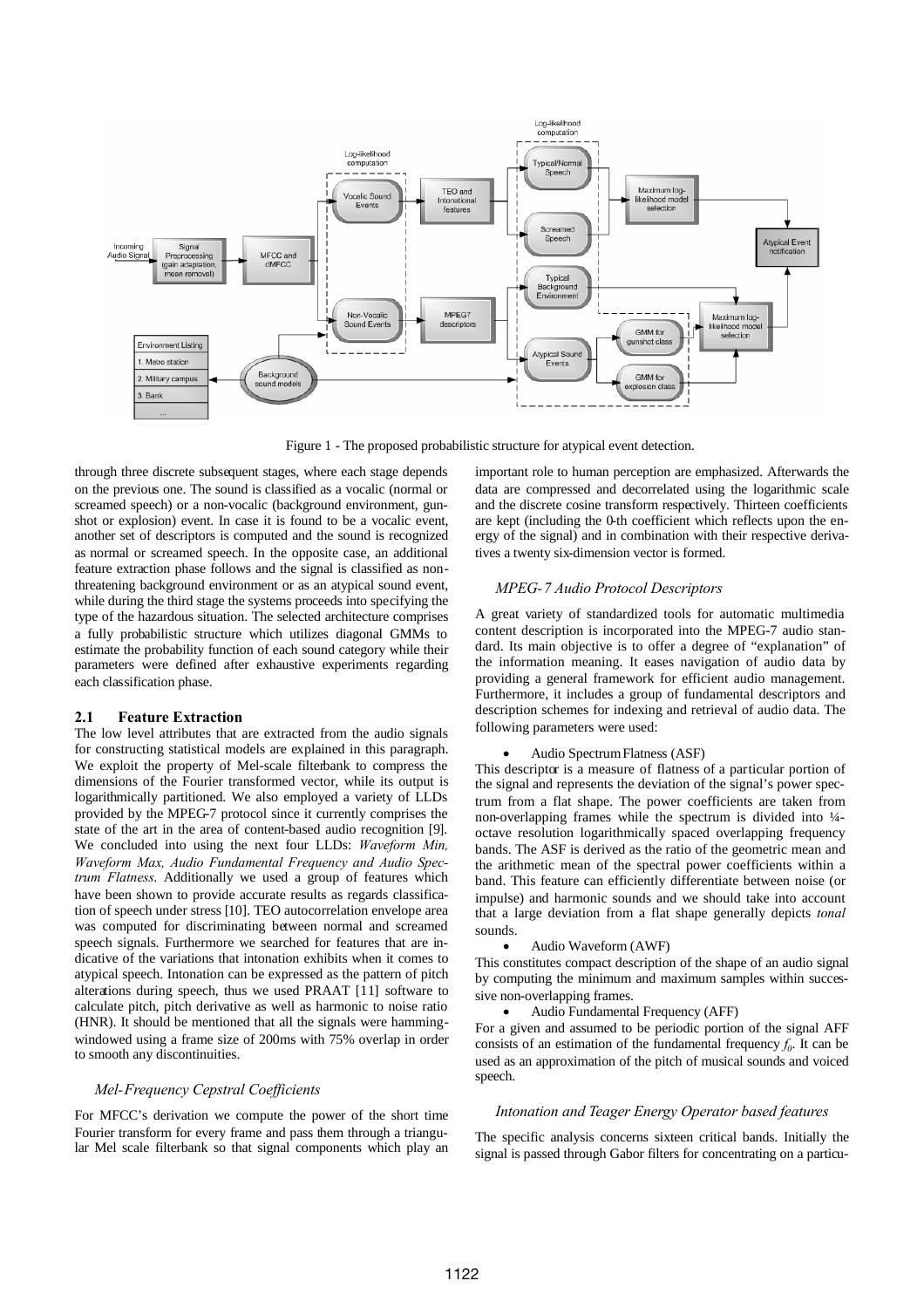

Figure 1 - The proposed probabilistic structure for atypical event detection.

through three discrete subsequent stages, where each stage depends on the previous one. The sound is classified as a vocalic (normal or screamed speech) or a non-vocalic (background environment, gunshot or explosion) event. In case it is found to be a vocalic event, another set of descriptors is computed and the sound is recognized as normal or screamed speech. In the opposite case, an additional feature extraction phase follows and the signal is classified as nonthreatening background environment or as an atypical sound event, while during the third stage the systems proceeds into specifying the type of the hazardous situation. The selected architecture comprises a fully probabilistic structure which utilizes diagonal GMMs to estimate the probability function of each sound category while their parameters were defined after exhaustive experiments regarding each classification phase.

#### **2.1 Feature Extraction**

The low level attributes that are extracted from the audio signals for constructing statistical models are explained in this paragraph. We exploit the property of Mel-scale filterbank to compress the dimensions of the Fourier transformed vector, while its output is logarithmically partitioned. We also employed a variety of LLDs provided by the MPEG-7 protocol since it currently comprises the state of the art in the area of content-based audio recognition [9]. We concluded into using the next four LLDs: *Waveform Min, Waveform Max, Audio Fundamental Frequency and Audio Spectrum Flatness*. Additionally we used a group of features which have been shown to provide accurate results as regards classification of speech under stress [10]. TEO autocorrelation envelope area was computed for discriminating between normal and screamed speech signals. Furthermore we searched for features that are indicative of the variations that intonation exhibits when it comes to atypical speech. Intonation can be expressed as the pattern of pitch alterations during speech, thus we used PRAAT [11] software to calculate pitch, pitch derivative as well as harmonic to noise ratio (HNR). It should be mentioned that all the signals were hammingwindowed using a frame size of 200ms with 75% overlap in order to smooth any discontinuities.

## *Mel-Frequency Cepstral Coefficients*

For MFCC's derivation we compute the power of the short time Fourier transform for every frame and pass them through a triangular Mel scale filterbank so that signal components which play an important role to human perception are emphasized. Afterwards the data are compressed and decorrelated using the logarithmic scale and the discrete cosine transform respectively. Thirteen coefficients are kept (including the 0-th coefficient which reflects upon the energy of the signal) and in combination with their respective derivatives a twenty six-dimension vector is formed.

#### *MPEG-7 Audio Protocol Descriptors*

A great variety of standardized tools for automatic multimedia content description is incorporated into the MPEG-7 audio standard. Its main objective is to offer a degree of "explanation" of the information meaning. It eases navigation of audio data by providing a general framework for efficient audio management. Furthermore, it includes a group of fundamental descriptors and description schemes for indexing and retrieval of audio data. The following parameters were used:

## Audio SpectrumFlatness (ASF)

This descriptor is a measure of flatness of a particular portion of the signal and represents the deviation of the signal's power spectrum from a flat shape. The power coefficients are taken from non-overlapping frames while the spectrum is divided into ¼ octave resolution logarithmically spaced overlapping frequency bands. The ASF is derived as the ratio of the geometric mean and the arithmetic mean of the spectral power coefficients within a band. This feature can efficiently differentiate between noise (or impulse) and harmonic sounds and we should take into account that a large deviation from a flat shape generally depicts *tonal* sounds.

#### Audio Waveform (AWF)

This constitutes compact description of the shape of an audio signal by computing the minimum and maximum samples within successive non-overlapping frames.

## Audio Fundamental Frequency (AFF)

For a given and assumed to be periodic portion of the signal AFF consists of an estimation of the fundamental frequency  $f_0$ . It can be used as an approximation of the pitch of musical sounds and voiced speech.

## *Intonation and Teager Energy Operator based features*

The specific analysis concerns sixteen critical bands. Initially the signal is passed through Gabor filters for concentrating on a particu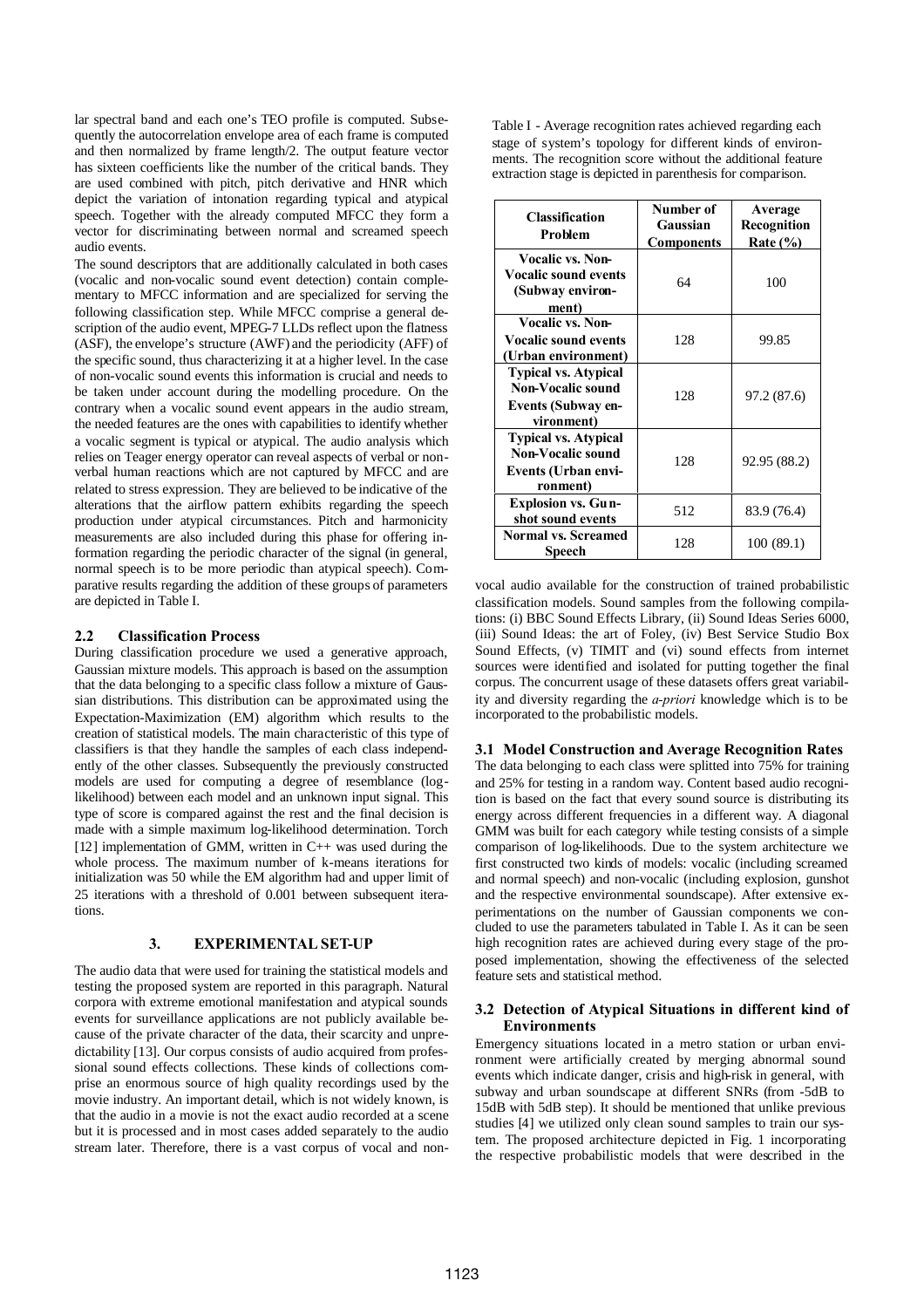lar spectral band and each one's TEO profile is computed. Subsequently the autocorrelation envelope area of each frame is computed and then normalized by frame length/2. The output feature vector has sixteen coefficients like the number of the critical bands. They are used combined with pitch, pitch derivative and HNR which depict the variation of intonation regarding typical and atypical speech. Together with the already computed MFCC they form a vector for discriminating between normal and screamed speech audio events.

The sound descriptors that are additionally calculated in both cases (vocalic and non-vocalic sound event detection) contain complementary to MFCC information and are specialized for serving the following classification step. While MFCC comprise a general description of the audio event, MPEG-7 LLDs reflect upon the flatness (ASF), the envelope's structure (AWF) and the periodicity (AFF) of the specific sound, thus characterizing it at a higher level. In the case of non-vocalic sound events this information is crucial and needs to be taken under account during the modelling procedure. On the contrary when a vocalic sound event appears in the audio stream, the needed features are the ones with capabilities to identify whether a vocalic segment is typical or atypical. The audio analysis which relies on Teager energy operator can reveal aspects of verbal or nonverbal human reactions which are not captured by MFCC and are related to stress expression. They are believed to be indicative of the alterations that the airflow pattern exhibits regarding the speech production under atypical circumstances. Pitch and harmonicity measurements are also included during this phase for offering information regarding the periodic character of the signal (in general, normal speech is to be more periodic than atypical speech). Comparative results regarding the addition of these groups of parameters are depicted in Table I.

## **2.2 Classification Process**

During classification procedure we used a generative approach, Gaussian mixture models. This approach is based on the assumption that the data belonging to a specific class follow a mixture of Gaussian distributions. This distribution can be approximated using the Expectation-Maximization (EM) algorithm which results to the creation of statistical models. The main characteristic of this type of classifiers is that they handle the samples of each class independently of the other classes. Subsequently the previously constructed models are used for computing a degree of resemblance (loglikelihood) between each model and an unknown input signal. This type of score is compared against the rest and the final decision is made with a simple maximum log-likelihood determination. Torch [12] implementation of GMM, written in  $C_{++}$  was used during the whole process. The maximum number of k-means iterations for initialization was 50 while the EM algorithm had and upper limit of 25 iterations with a threshold of 0.001 between subsequent iterations.

# **3. EXPERIMENTAL SET-UP**

The audio data that were used for training the statistical models and testing the proposed system are reported in this paragraph. Natural corpora with extreme emotional manifestation and atypical sounds events for surveillance applications are not publicly available because of the private character of the data, their scarcity and unpredictability [13]. Our corpus consists of audio acquired from professional sound effects collections. These kinds of collections comprise an enormous source of high quality recordings used by the movie industry. An important detail, which is not widely known, is that the audio in a movie is not the exact audio recorded at a scene but it is processed and in most cases added separately to the audio stream later. Therefore, there is a vast corpus of vocal and nonTable I - Average recognition rates achieved regarding each stage of system's topology for different kinds of environments. The recognition score without the additional feature extraction stage is depicted in parenthesis for comparison.

| <b>Classification</b><br><b>Problem</b>                                                     | Number of<br>Gaussian<br><b>Components</b> | Average<br>Recognition<br>Rate $(\% )$ |
|---------------------------------------------------------------------------------------------|--------------------------------------------|----------------------------------------|
| Vocalic vs. Non-<br><b>Vocalic sound events</b><br>(Subway environ-<br>ment)                | 64                                         | 100                                    |
| Vocalic vs. Non-<br><b>Vocalic sound events</b><br>(Urban environment)                      | 128                                        | 99.85                                  |
| <b>Typical vs. Atypical</b><br>Non-Vocalic sound<br><b>Events (Subway en-</b><br>vironment) | 128                                        | 97.2 (87.6)                            |
| <b>Typical vs. Atypical</b><br>Non-Vocalic sound<br>Events (Urban envi-<br>ronment)         | 128                                        | 92.95 (88.2)                           |
| <b>Explosion vs. Gun-</b><br>shot sound events                                              | 512                                        | 83.9 (76.4)                            |
| <b>Normal vs. Screamed</b><br>Speech                                                        | 128                                        | 100(89.1)                              |

vocal audio available for the construction of trained probabilistic classification models. Sound samples from the following compilations: (i) BBC Sound Effects Library, (ii) Sound Ideas Series 6000, (iii) Sound Ideas: the art of Foley, (iv) Best Service Studio Box Sound Effects, (v) TIMIT and (vi) sound effects from internet sources were identified and isolated for putting together the final corpus. The concurrent usage of these datasets offers great variability and diversity regarding the *a-priori* knowledge which is to be incorporated to the probabilistic models.

# **3.1 Model Construction and Average Recognition Rates**

The data belonging to each class were splitted into 75% for training and 25% for testing in a random way. Content based audio recognition is based on the fact that every sound source is distributing its energy across different frequencies in a different way. A diagonal GMM was built for each category while testing consists of a simple comparison of log-likelihoods. Due to the system architecture we first constructed two kinds of models: vocalic (including screamed and normal speech) and non-vocalic (including explosion, gunshot and the respective environmental soundscape). After extensive experimentations on the number of Gaussian components we concluded to use the parameters tabulated in Table I. As it can be seen high recognition rates are achieved during every stage of the proposed implementation, showing the effectiveness of the selected feature sets and statistical method.

# **3.2 Detection of Atypical Situations in different kind of Environments**

Emergency situations located in a metro station or urban environment were artificially created by merging abnormal sound events which indicate danger, crisis and high-risk in general, with subway and urban soundscape at different SNRs (from -5dB to 15dB with 5dB step). It should be mentioned that unlike previous studies [4] we utilized only clean sound samples to train our system. The proposed architecture depicted in Fig. 1 incorporating the respective probabilistic models that were described in the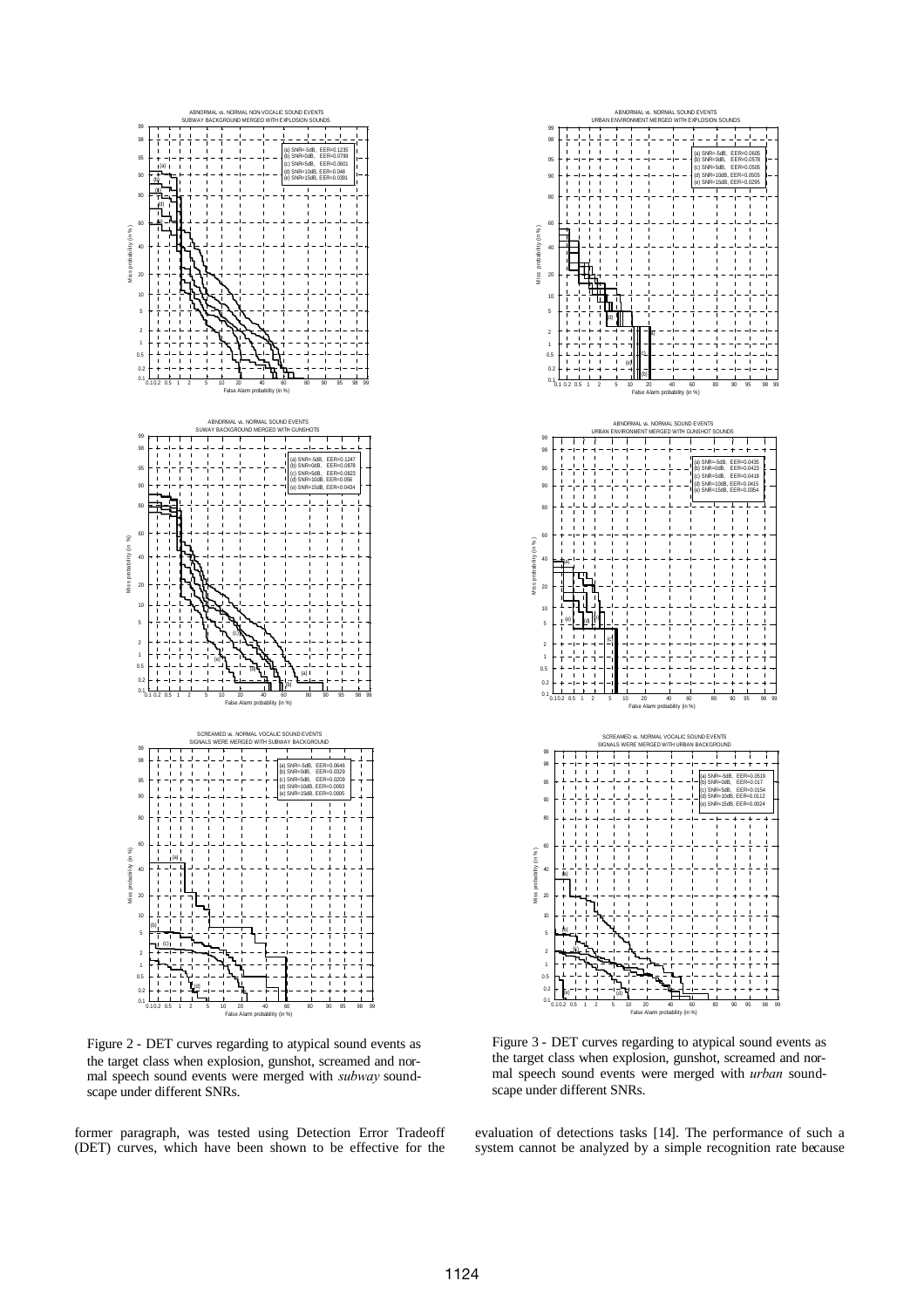

Figure 2 - DET curves regarding to atypical sound events as the target class when explosion, gunshot, screamed and normal speech sound events were merged with *subway* soundscape under different SNRs.

former paragraph, was tested using Detection Error Tradeoff (DET) curves, which have been shown to be effective for the



Figure 3 - DET curves regarding to atypical sound events as the target class when explosion, gunshot, screamed and normal speech sound events were merged with *urban* soundscape under different SNRs.

evaluation of detections tasks [14]. The performance of such a system cannot be analyzed by a simple recognition rate because